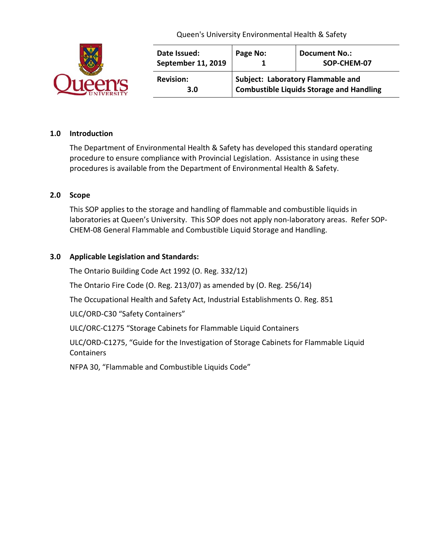

### **1.0 Introduction**

The Department of Environmental Health & Safety has developed this standard operating procedure to ensure compliance with Provincial Legislation. Assistance in using these procedures is available from the Department of Environmental Health & Safety.

### **2.0 Scope**

This SOP applies to the storage and handling of flammable and combustible liquids in laboratories at Queen's University. This SOP does not apply non-laboratory areas. Refer SOP-CHEM-08 General Flammable and Combustible Liquid Storage and Handling.

### **3.0 Applicable Legislation and Standards:**

The Ontario Building Code Act 1992 (O. Reg. 332/12)

The Ontario Fire Code (O. Reg. 213/07) as amended by (O. Reg. 256/14)

The Occupational Health and Safety Act, Industrial Establishments O. Reg. 851

ULC/ORD-C30 "Safety Containers"

ULC/ORC-C1275 "Storage Cabinets for Flammable Liquid Containers

ULC/ORD-C1275, "Guide for the Investigation of Storage Cabinets for Flammable Liquid Containers

NFPA 30, "Flammable and Combustible Liquids Code"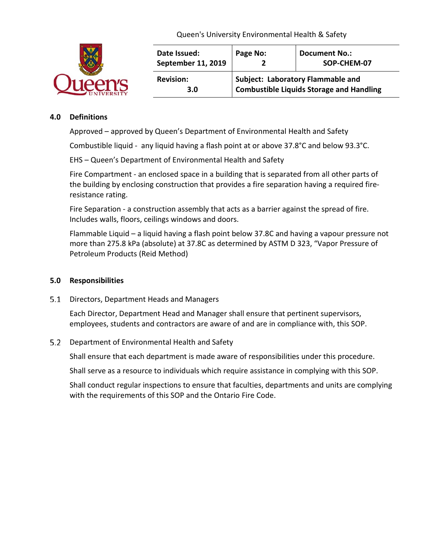

#### **4.0 Definitions**

Approved – approved by Queen's Department of Environmental Health and Safety

Combustible liquid - any liquid having a flash point at or above 37.8°C and below 93.3°C.

EHS – Queen's Department of Environmental Health and Safety

Fire Compartment - an enclosed space in a building that is separated from all other parts of the building by enclosing construction that provides a fire separation having a required fireresistance rating.

Fire Separation - a construction assembly that acts as a barrier against the spread of fire. Includes walls, floors, ceilings windows and doors.

Flammable Liquid – a liquid having a flash point below 37.8C and having a vapour pressure not more than 275.8 kPa (absolute) at 37.8C as determined by ASTM D 323, "Vapor Pressure of Petroleum Products (Reid Method)

#### **5.0 Responsibilities**

 $5.1$ Directors, Department Heads and Managers

> Each Director, Department Head and Manager shall ensure that pertinent supervisors, employees, students and contractors are aware of and are in compliance with, this SOP.

Department of Environmental Health and Safety  $5.2$ 

Shall ensure that each department is made aware of responsibilities under this procedure.

Shall serve as a resource to individuals which require assistance in complying with this SOP.

Shall conduct regular inspections to ensure that faculties, departments and units are complying with the requirements of this SOP and the Ontario Fire Code.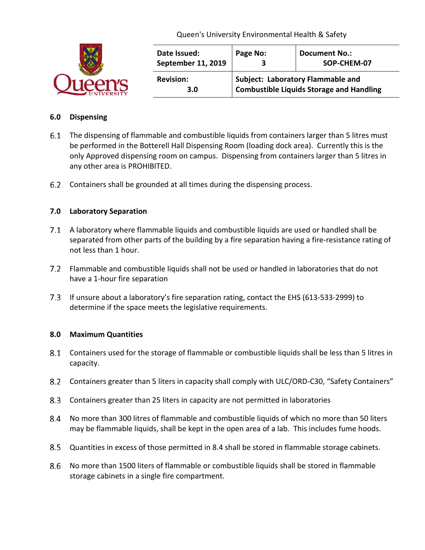

### **6.0 Dispensing**

- The dispensing of flammable and combustible liquids from containers larger than 5 litres must  $6.1$ be performed in the Botterell Hall Dispensing Room (loading dock area). Currently this is the only Approved dispensing room on campus. Dispensing from containers larger than 5 litres in any other area is PROHIBITED.
- Containers shall be grounded at all times during the dispensing process.

### **7.0 Laboratory Separation**

- A laboratory where flammable liquids and combustible liquids are used or handled shall be separated from other parts of the building by a fire separation having a fire-resistance rating of not less than 1 hour.
- Flammable and combustible liquids shall not be used or handled in laboratories that do not have a 1-hour fire separation
- 7.3 If unsure about a laboratory's fire separation rating, contact the EHS (613-533-2999) to determine if the space meets the legislative requirements.

#### **8.0 Maximum Quantities**

- Containers used for the storage of flammable or combustible liquids shall be less than 5 litres in capacity.
- 8.2 Containers greater than 5 liters in capacity shall comply with ULC/ORD-C30, "Safety Containers"
- 8.3 Containers greater than 25 liters in capacity are not permitted in laboratories
- 8.4 No more than 300 litres of flammable and combustible liquids of which no more than 50 liters may be flammable liquids, shall be kept in the open area of a lab. This includes fume hoods.
- Quantities in excess of those permitted in 8.4 shall be stored in flammable storage cabinets.
- 8.6 No more than 1500 liters of flammable or combustible liquids shall be stored in flammable storage cabinets in a single fire compartment.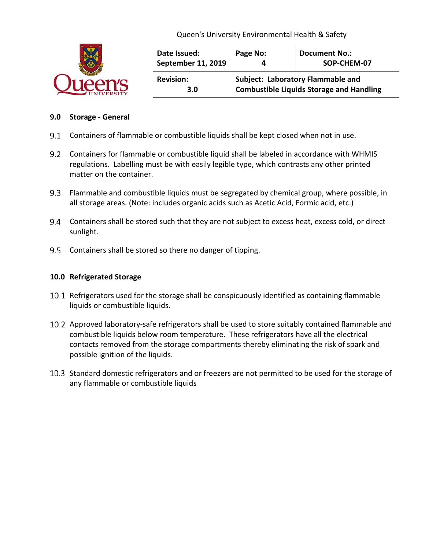

| Date Issued:<br>September 11, 2019 | Page No:                                        | <b>Document No.:</b><br>SOP-CHEM-07 |
|------------------------------------|-------------------------------------------------|-------------------------------------|
| <b>Revision:</b>                   | Subject: Laboratory Flammable and               |                                     |
| 3.0                                | <b>Combustible Liquids Storage and Handling</b> |                                     |

### **9.0 Storage - General**

- Containers of flammable or combustible liquids shall be kept closed when not in use.
- Containers for flammable or combustible liquid shall be labeled in accordance with WHMIS regulations. Labelling must be with easily legible type, which contrasts any other printed matter on the container.
- Flammable and combustible liquids must be segregated by chemical group, where possible, in all storage areas. (Note: includes organic acids such as Acetic Acid, Formic acid, etc.)
- Containers shall be stored such that they are not subject to excess heat, excess cold, or direct sunlight.
- 9.5 Containers shall be stored so there no danger of tipping.

## **10.0 Refrigerated Storage**

- 10.1 Refrigerators used for the storage shall be conspicuously identified as containing flammable liquids or combustible liquids.
- 10.2 Approved laboratory-safe refrigerators shall be used to store suitably contained flammable and combustible liquids below room temperature. These refrigerators have all the electrical contacts removed from the storage compartments thereby eliminating the risk of spark and possible ignition of the liquids.
- 10.3 Standard domestic refrigerators and or freezers are not permitted to be used for the storage of any flammable or combustible liquids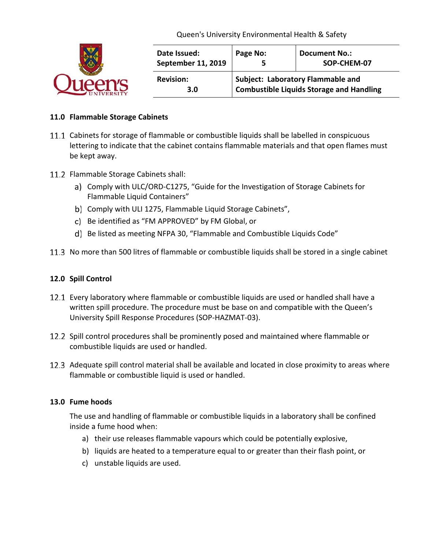

| Date Issued:<br>September 11, 2019 | Page No:                                        | <b>Document No.:</b><br>SOP-CHEM-07 |
|------------------------------------|-------------------------------------------------|-------------------------------------|
| <b>Revision:</b>                   | Subject: Laboratory Flammable and               |                                     |
| 3.0                                | <b>Combustible Liquids Storage and Handling</b> |                                     |

## **11.0 Flammable Storage Cabinets**

- Cabinets for storage of flammable or combustible liquids shall be labelled in conspicuous lettering to indicate that the cabinet contains flammable materials and that open flames must be kept away.
- 11.2 Flammable Storage Cabinets shall:
	- a) Comply with ULC/ORD-C1275, "Guide for the Investigation of Storage Cabinets for Flammable Liquid Containers"
	- b) Comply with ULI 1275, Flammable Liquid Storage Cabinets",
	- Be identified as "FM APPROVED" by FM Global, or
	- Be listed as meeting NFPA 30, "Flammable and Combustible Liquids Code"
- 11.3 No more than 500 litres of flammable or combustible liquids shall be stored in a single cabinet

## **12.0 Spill Control**

- 12.1 Every laboratory where flammable or combustible liquids are used or handled shall have a written spill procedure. The procedure must be base on and compatible with the Queen's University Spill Response Procedures (SOP-HAZMAT-03).
- 12.2 Spill control procedures shall be prominently posed and maintained where flammable or combustible liquids are used or handled.
- 12.3 Adequate spill control material shall be available and located in close proximity to areas where flammable or combustible liquid is used or handled.

## **13.0 Fume hoods**

The use and handling of flammable or combustible liquids in a laboratory shall be confined inside a fume hood when:

- a) their use releases flammable vapours which could be potentially explosive,
- b) liquids are heated to a temperature equal to or greater than their flash point, or
- c) unstable liquids are used.